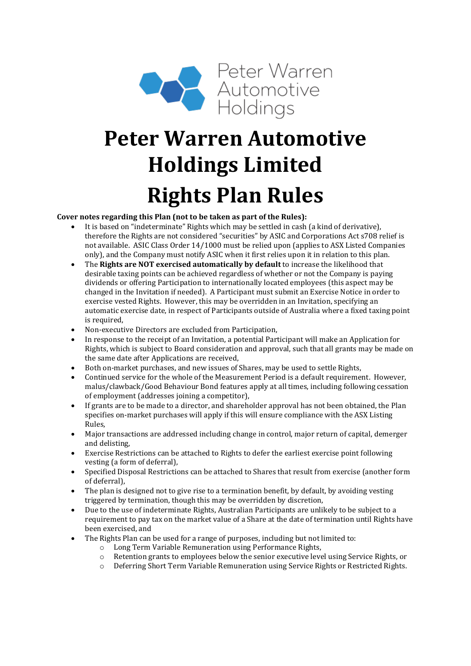

# **Peter Warren Automotive Holdings Limited Rights Plan Rules**

#### **Cover notes regarding this Plan (not to be taken as part of the Rules):**

- It is based on "indeterminate" Rights which may be settled in cash (a kind of derivative), therefore the Rights are not considered "securities" by ASIC and Corporations Act s708 relief is not available. ASIC Class Order 14/1000 must be relied upon (applies to ASX Listed Companies only), and the Company must notify ASIC when it first relies upon it in relation to this plan.
- The **Rights are NOT exercised automatically by default** to increase the likelihood that desirable taxing points can be achieved regardless of whether or not the Company is paying dividends or offering Participation to internationally located employees (this aspect may be changed in the Invitation if needed). A Participant must submit an Exercise Notice in order to exercise vested Rights. However, this may be overridden in an Invitation, specifying an automatic exercise date, in respect of Participants outside of Australia where a fixed taxing point is required.
- Non-executive Directors are excluded from Participation,
- In response to the receipt of an Invitation, a potential Participant will make an Application for Rights, which is subject to Board consideration and approval, such that all grants may be made on the same date after Applications are received,
- Both on-market purchases, and new issues of Shares, may be used to settle Rights,
- Continued service for the whole of the Measurement Period is a default requirement. However, malus/clawback/Good Behaviour Bond features apply at all times, including following cessation of employment (addresses joining a competitor),
- If grants are to be made to a director, and shareholder approval has not been obtained, the Plan specifies on-market purchases will apply if this will ensure compliance with the ASX Listing Rules,
- Major transactions are addressed including change in control, major return of capital, demerger and delisting,
- Exercise Restrictions can be attached to Rights to defer the earliest exercise point following vesting (a form of deferral),
- Specified Disposal Restrictions can be attached to Shares that result from exercise (another form of deferral),
- The plan is designed not to give rise to a termination benefit, by default, by avoiding vesting triggered by termination, though this may be overridden by discretion,
- Due to the use of indeterminate Rights, Australian Participants are unlikely to be subject to a requirement to pay tax on the market value of a Share at the date of termination until Rights have been exercised, and
- The Rights Plan can be used for a range of purposes, including but not limited to:<br>  $\circ$  Long Term Variable Remuneration using Performance Rights,
	- $\circ$  Long Term Variable Remuneration using Performance Rights,<br> $\circ$  Retention grants to employees below the senior executive leve
	- $\circ$  Retention grants to employees below the senior executive level using Service Rights, or  $\circ$  Deferring Short Term Variable Remuneration using Service Rights or Restricted Rights.
	- Deferring Short Term Variable Remuneration using Service Rights or Restricted Rights.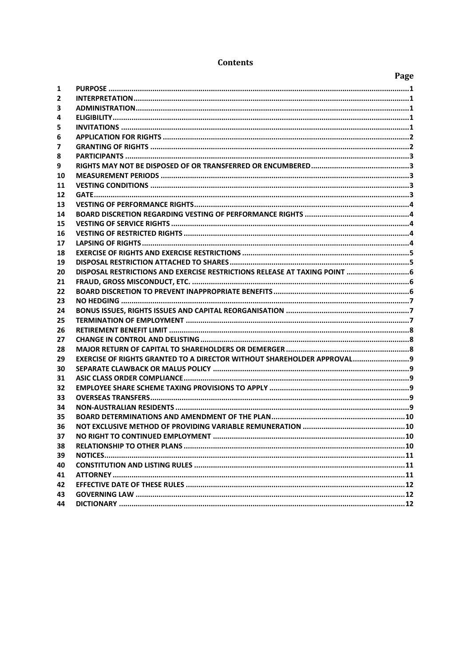|    |                                                                               | Page |
|----|-------------------------------------------------------------------------------|------|
| 1  |                                                                               |      |
| 2  |                                                                               |      |
| 3  |                                                                               |      |
| 4  |                                                                               |      |
| 5  |                                                                               |      |
| 6  |                                                                               |      |
| 7  |                                                                               |      |
| 8  |                                                                               |      |
| 9  |                                                                               |      |
| 10 |                                                                               |      |
| 11 |                                                                               |      |
| 12 |                                                                               |      |
| 13 |                                                                               |      |
| 14 |                                                                               |      |
| 15 |                                                                               |      |
| 16 |                                                                               |      |
| 17 |                                                                               |      |
| 18 |                                                                               |      |
| 19 |                                                                               |      |
| 20 |                                                                               |      |
| 21 |                                                                               |      |
| 22 |                                                                               |      |
| 23 |                                                                               |      |
| 24 |                                                                               |      |
| 25 |                                                                               |      |
| 26 |                                                                               |      |
| 27 |                                                                               |      |
| 28 |                                                                               |      |
| 29 | <b>EXERCISE OF RIGHTS GRANTED TO A DIRECTOR WITHOUT SHAREHOLDER APPROVAL9</b> |      |
| 30 |                                                                               |      |
| 31 |                                                                               |      |
| 32 |                                                                               |      |
| 33 |                                                                               |      |
| 34 |                                                                               |      |
| 35 |                                                                               |      |
| 36 |                                                                               |      |
| 37 |                                                                               |      |
| 38 |                                                                               |      |
| 39 |                                                                               |      |
| 40 |                                                                               |      |
| 41 |                                                                               |      |
| 42 |                                                                               |      |
| 43 |                                                                               |      |
| 44 |                                                                               |      |

#### **Contents**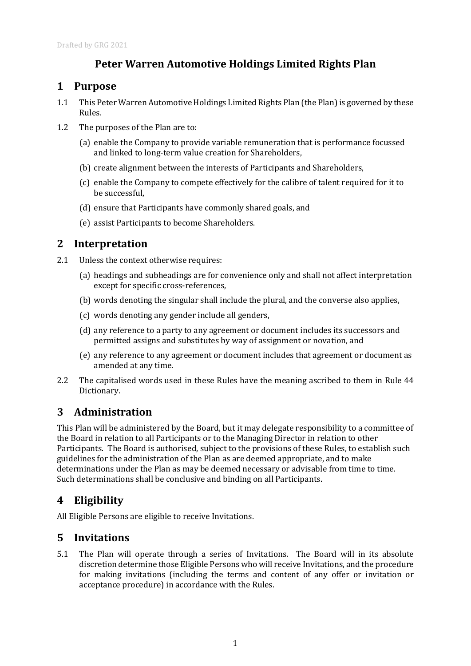# **Peter Warren Automotive Holdings Limited Rights Plan**

### <span id="page-2-0"></span>**1 Purpose**

- 1.1 This Peter Warren Automotive Holdings Limited Rights Plan (the Plan) is governed by these Rules.
- 1.2 The purposes of the Plan are to:
	- (a) enable the Company to provide variable remuneration that is performance focussed and linked to long-term value creation for Shareholders,
	- (b) create alignment between the interests of Participants and Shareholders,
	- (c) enable the Company to compete effectively for the calibre of talent required for it to be successful,
	- (d) ensure that Participants have commonly shared goals, and
	- (e) assist Participants to become Shareholders.

## <span id="page-2-1"></span>**2 Interpretation**

- 2.1 Unless the context otherwise requires:
	- (a) headings and subheadings are for convenience only and shall not affect interpretation except for specific cross-references,
	- (b) words denoting the singular shall include the plural, and the converse also applies,
	- (c) words denoting any gender include all genders,
	- (d) any reference to a party to any agreement or document includes its successors and permitted assigns and substitutes by way of assignment or novation, and
	- (e) any reference to any agreement or document includes that agreement or document as amended at any time.
- 2.2 The capitalised words used in these Rules have the meaning ascribed to them in Rule [44](#page-13-2) Dictionary.

## <span id="page-2-2"></span>**3 Administration**

This Plan will be administered by the Board, but it may delegate responsibility to a committee of the Board in relation to all Participants or to the Managing Director in relation to other Participants. The Board is authorised, subject to the provisions of these Rules, to establish such guidelines for the administration of the Plan as are deemed appropriate, and to make determinations under the Plan as may be deemed necessary or advisable from time to time. Such determinations shall be conclusive and binding on all Participants.

# <span id="page-2-3"></span>**4 Eligibility**

All Eligible Persons are eligible to receive Invitations.

#### <span id="page-2-4"></span>**5 Invitations**

5.1 The Plan will operate through a series of Invitations. The Board will in its absolute discretion determine those Eligible Persons who will receive Invitations, and the procedure for making invitations (including the terms and content of any offer or invitation or acceptance procedure) in accordance with the Rules.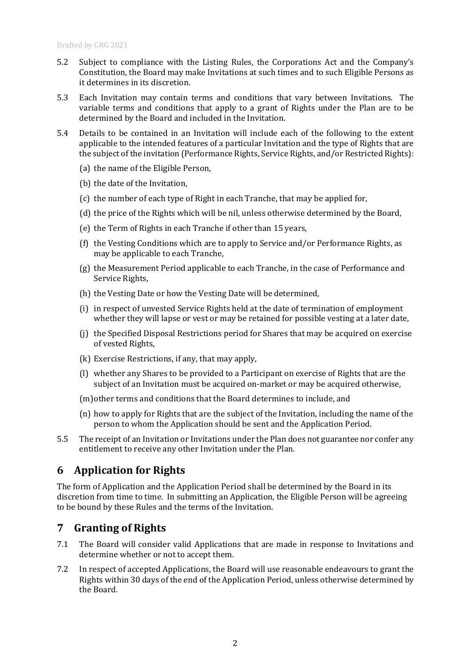- 5.2 Subject to compliance with the Listing Rules, the Corporations Act and the Company's Constitution, the Board may make Invitations at such times and to such Eligible Persons as it determines in its discretion.
- 5.3 Each Invitation may contain terms and conditions that vary between Invitations. The variable terms and conditions that apply to a grant of Rights under the Plan are to be determined by the Board and included in the Invitation.
- 5.4 Details to be contained in an Invitation will include each of the following to the extent applicable to the intended features of a particular Invitation and the type of Rights that are the subject of the invitation (Performance Rights, Service Rights, and/or Restricted Rights):
	- (a) the name of the Eligible Person,
	- (b) the date of the Invitation,
	- (c) the number of each type of Right in each Tranche, that may be applied for,
	- (d) the price of the Rights which will be nil, unless otherwise determined by the Board,
	- (e) the Term of Rights in each Tranche if other than 15 years,
	- (f) the Vesting Conditions which are to apply to Service and/or Performance Rights, as may be applicable to each Tranche,
	- (g) the Measurement Period applicable to each Tranche, in the case of Performance and Service Rights,
	- (h) the Vesting Date or how the Vesting Date will be determined,
	- (i) in respect of unvested Service Rights held at the date of termination of employment whether they will lapse or vest or may be retained for possible vesting at a later date,
	- (j) the Specified Disposal Restrictions period for Shares that may be acquired on exercise of vested Rights,
	- (k) Exercise Restrictions, if any, that may apply,
	- (l) whether any Shares to be provided to a Participant on exercise of Rights that are the subject of an Invitation must be acquired on-market or may be acquired otherwise,
	- (m)other terms and conditions that the Board determines to include, and
	- (n) how to apply for Rights that are the subject of the Invitation, including the name of the person to whom the Application should be sent and the Application Period.
- 5.5 The receipt of an Invitation or Invitations under the Plan does not guarantee nor confer any entitlement to receive any other Invitation under the Plan.

#### <span id="page-3-0"></span>**6 Application for Rights**

The form of Application and the Application Period shall be determined by the Board in its discretion from time to time. In submitting an Application, the Eligible Person will be agreeing to be bound by these Rules and the terms of the Invitation.

## <span id="page-3-1"></span>**7 Granting of Rights**

- 7.1 The Board will consider valid Applications that are made in response to Invitations and determine whether or not to accept them.
- 7.2 In respect of accepted Applications, the Board will use reasonable endeavours to grant the Rights within 30 days of the end of the Application Period, unless otherwise determined by the Board.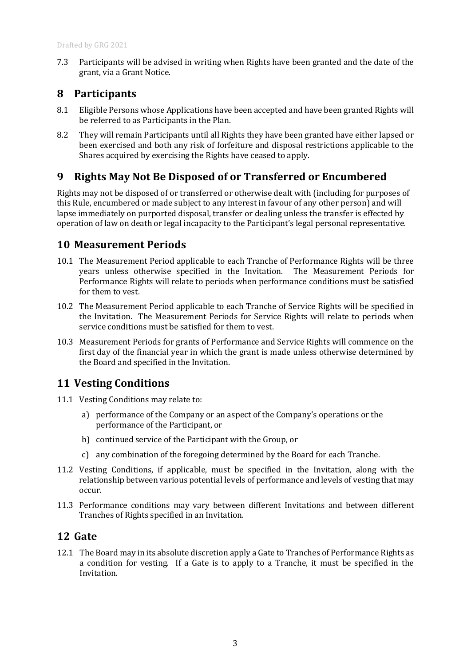7.3 Participants will be advised in writing when Rights have been granted and the date of the grant, via a Grant Notice.

#### <span id="page-4-0"></span>**8 Participants**

- 8.1 Eligible Persons whose Applications have been accepted and have been granted Rights will be referred to as Participants in the Plan.
- 8.2 They will remain Participants until all Rights they have been granted have either lapsed or been exercised and both any risk of forfeiture and disposal restrictions applicable to the Shares acquired by exercising the Rights have ceased to apply.

## <span id="page-4-1"></span>**9 Rights May Not Be Disposed of or Transferred or Encumbered**

Rights may not be disposed of or transferred or otherwise dealt with (including for purposes of this Rule, encumbered or made subject to any interest in favour of any other person) and will lapse immediately on purported disposal, transfer or dealing unless the transfer is effected by operation of law on death or legal incapacity to the Participant's legal personal representative.

#### <span id="page-4-2"></span>**10 Measurement Periods**

- 10.1 The Measurement Period applicable to each Tranche of Performance Rights will be three years unless otherwise specified in the Invitation. The Measurement Periods for Performance Rights will relate to periods when performance conditions must be satisfied for them to vest.
- 10.2 The Measurement Period applicable to each Tranche of Service Rights will be specified in the Invitation. The Measurement Periods for Service Rights will relate to periods when service conditions must be satisfied for them to vest.
- 10.3 Measurement Periods for grants of Performance and Service Rights will commence on the first day of the financial year in which the grant is made unless otherwise determined by the Board and specified in the Invitation.

### <span id="page-4-3"></span>**11 Vesting Conditions**

- 11.1 Vesting Conditions may relate to:
	- a) performance of the Company or an aspect of the Company's operations or the performance of the Participant, or
	- b) continued service of the Participant with the Group, or
	- c) any combination of the foregoing determined by the Board for each Tranche.
- 11.2 Vesting Conditions, if applicable, must be specified in the Invitation, along with the relationship between various potential levels of performance and levels of vesting that may occur.
- 11.3 Performance conditions may vary between different Invitations and between different Tranches of Rights specified in an Invitation.

#### <span id="page-4-4"></span>**12 Gate**

12.1 The Board may in its absolute discretion apply a Gate to Tranches of Performance Rights as a condition for vesting. If a Gate is to apply to a Tranche, it must be specified in the Invitation.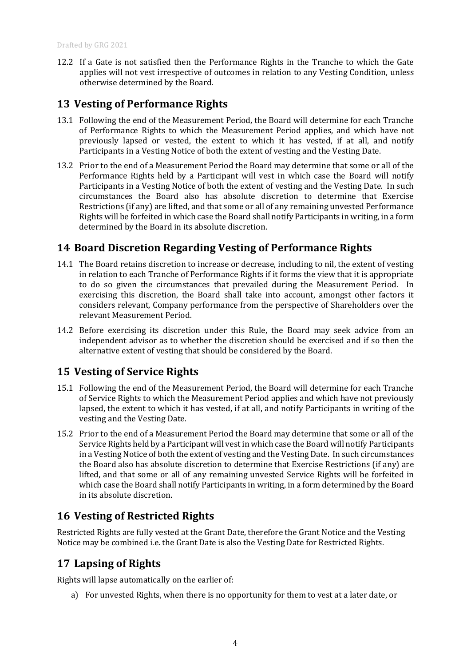12.2 If a Gate is not satisfied then the Performance Rights in the Tranche to which the Gate applies will not vest irrespective of outcomes in relation to any Vesting Condition, unless otherwise determined by the Board.

### <span id="page-5-0"></span>**13 Vesting of Performance Rights**

- 13.1 Following the end of the Measurement Period, the Board will determine for each Tranche of Performance Rights to which the Measurement Period applies, and which have not previously lapsed or vested, the extent to which it has vested, if at all, and notify Participants in a Vesting Notice of both the extent of vesting and the Vesting Date.
- 13.2 Prior to the end of a Measurement Period the Board may determine that some or all of the Performance Rights held by a Participant will vest in which case the Board will notify Participants in a Vesting Notice of both the extent of vesting and the Vesting Date. In such circumstances the Board also has absolute discretion to determine that Exercise Restrictions (if any) are lifted, and that some or all of any remaining unvested Performance Rights will be forfeited in which case the Board shall notify Participants in writing, in a form determined by the Board in its absolute discretion.

#### <span id="page-5-1"></span>**14 Board Discretion Regarding Vesting of Performance Rights**

- 14.1 The Board retains discretion to increase or decrease, including to nil, the extent of vesting in relation to each Tranche of Performance Rights if it forms the view that it is appropriate to do so given the circumstances that prevailed during the Measurement Period. In exercising this discretion, the Board shall take into account, amongst other factors it considers relevant, Company performance from the perspective of Shareholders over the relevant Measurement Period.
- 14.2 Before exercising its discretion under this Rule, the Board may seek advice from an independent advisor as to whether the discretion should be exercised and if so then the alternative extent of vesting that should be considered by the Board.

#### <span id="page-5-2"></span>**15 Vesting of Service Rights**

- 15.1 Following the end of the Measurement Period, the Board will determine for each Tranche of Service Rights to which the Measurement Period applies and which have not previously lapsed, the extent to which it has vested, if at all, and notify Participants in writing of the vesting and the Vesting Date.
- 15.2 Prior to the end of a Measurement Period the Board may determine that some or all of the Service Rights held by a Participant will vest in which case the Board will notify Participants in a Vesting Notice of both the extent of vesting and the Vesting Date. In such circumstances the Board also has absolute discretion to determine that Exercise Restrictions (if any) are lifted, and that some or all of any remaining unvested Service Rights will be forfeited in which case the Board shall notify Participants in writing, in a form determined by the Board in its absolute discretion.

#### <span id="page-5-3"></span>**16 Vesting of Restricted Rights**

Restricted Rights are fully vested at the Grant Date, therefore the Grant Notice and the Vesting Notice may be combined i.e. the Grant Date is also the Vesting Date for Restricted Rights.

#### <span id="page-5-4"></span>**17 Lapsing of Rights**

Rights will lapse automatically on the earlier of:

a) For unvested Rights, when there is no opportunity for them to vest at a later date, or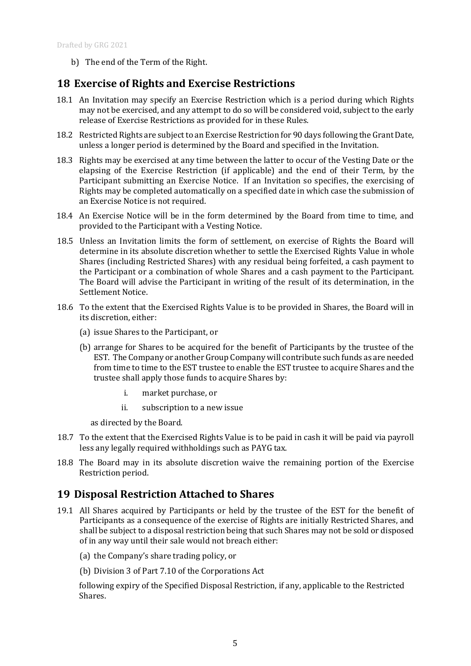b) The end of the Term of the Right.

### <span id="page-6-0"></span>**18 Exercise of Rights and Exercise Restrictions**

- 18.1 An Invitation may specify an Exercise Restriction which is a period during which Rights may not be exercised, and any attempt to do so will be considered void, subject to the early release of Exercise Restrictions as provided for in these Rules.
- <span id="page-6-2"></span>18.2 Restricted Rights are subject to an Exercise Restriction for 90 days following the Grant Date, unless a longer period is determined by the Board and specified in the Invitation.
- 18.3 Rights may be exercised at any time between the latter to occur of the Vesting Date or the elapsing of the Exercise Restriction (if applicable) and the end of their Term, by the Participant submitting an Exercise Notice. If an Invitation so specifies, the exercising of Rights may be completed automatically on a specified date in which case the submission of an Exercise Notice is not required.
- 18.4 An Exercise Notice will be in the form determined by the Board from time to time, and provided to the Participant with a Vesting Notice.
- 18.5 Unless an Invitation limits the form of settlement, on exercise of Rights the Board will determine in its absolute discretion whether to settle the Exercised Rights Value in whole Shares (including Restricted Shares) with any residual being forfeited, a cash payment to the Participant or a combination of whole Shares and a cash payment to the Participant. The Board will advise the Participant in writing of the result of its determination, in the Settlement Notice.
- 18.6 To the extent that the Exercised Rights Value is to be provided in Shares, the Board will in its discretion, either:
	- (a) issue Shares to the Participant, or
	- (b) arrange for Shares to be acquired for the benefit of Participants by the trustee of the EST. The Company or another Group Company will contribute such funds as are needed from time to time to the EST trustee to enable the EST trustee to acquire Shares and the trustee shall apply those funds to acquire Shares by:
		- i. market purchase, or
		- ii. subscription to a new issue

as directed by the Board.

- 18.7 To the extent that the Exercised Rights Value is to be paid in cash it will be paid via payroll less any legally required withholdings such as PAYG tax.
- 18.8 The Board may in its absolute discretion waive the remaining portion of the Exercise Restriction period.

#### <span id="page-6-1"></span>**19 Disposal Restriction Attached to Shares**

- 19.1 All Shares acquired by Participants or held by the trustee of the EST for the benefit of Participants as a consequence of the exercise of Rights are initially Restricted Shares, and shall be subject to a disposal restriction being that such Shares may not be sold or disposed of in any way until their sale would not breach either:
	- (a) the Company's share trading policy, or
	- (b) Division 3 of Part 7.10 of the Corporations Act

following expiry of the Specified Disposal Restriction, if any, applicable to the Restricted Shares.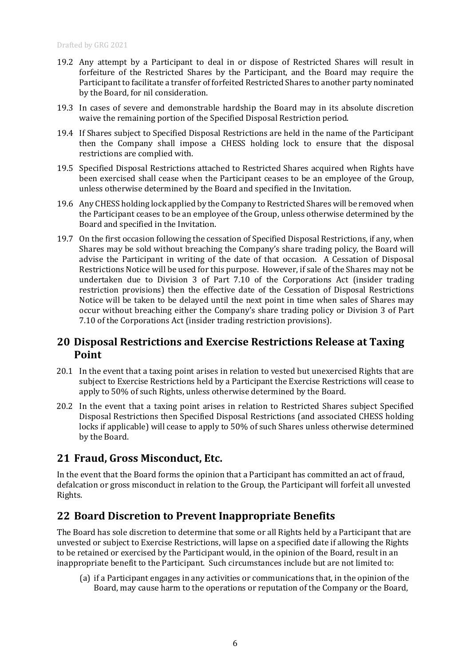- 19.2 Any attempt by a Participant to deal in or dispose of Restricted Shares will result in forfeiture of the Restricted Shares by the Participant, and the Board may require the Participant to facilitate a transfer of forfeited Restricted Shares to another party nominated by the Board, for nil consideration.
- 19.3 In cases of severe and demonstrable hardship the Board may in its absolute discretion waive the remaining portion of the Specified Disposal Restriction period.
- 19.4 If Shares subject to Specified Disposal Restrictions are held in the name of the Participant then the Company shall impose a CHESS holding lock to ensure that the disposal restrictions are complied with.
- 19.5 Specified Disposal Restrictions attached to Restricted Shares acquired when Rights have been exercised shall cease when the Participant ceases to be an employee of the Group, unless otherwise determined by the Board and specified in the Invitation.
- 19.6 Any CHESS holding lock applied by the Company to Restricted Shares will be removed when the Participant ceases to be an employee of the Group, unless otherwise determined by the Board and specified in the Invitation.
- 19.7 On the first occasion following the cessation of Specified Disposal Restrictions, if any, when Shares may be sold without breaching the Company's share trading policy, the Board will advise the Participant in writing of the date of that occasion. A Cessation of Disposal Restrictions Notice will be used for this purpose. However, if sale of the Shares may not be undertaken due to Division 3 of Part 7.10 of the Corporations Act (insider trading restriction provisions) then the effective date of the Cessation of Disposal Restrictions Notice will be taken to be delayed until the next point in time when sales of Shares may occur without breaching either the Company's share trading policy or Division 3 of Part 7.10 of the Corporations Act (insider trading restriction provisions).

#### <span id="page-7-0"></span>**20 Disposal Restrictions and Exercise Restrictions Release at Taxing Point**

- 20.1 In the event that a taxing point arises in relation to vested but unexercised Rights that are subject to Exercise Restrictions held by a Participant the Exercise Restrictions will cease to apply to 50% of such Rights, unless otherwise determined by the Board.
- 20.2 In the event that a taxing point arises in relation to Restricted Shares subject Specified Disposal Restrictions then Specified Disposal Restrictions (and associated CHESS holding locks if applicable) will cease to apply to 50% of such Shares unless otherwise determined by the Board.

#### <span id="page-7-1"></span>**21 Fraud, Gross Misconduct, Etc.**

In the event that the Board forms the opinion that a Participant has committed an act of fraud, defalcation or gross misconduct in relation to the Group, the Participant will forfeit all unvested Rights.

#### <span id="page-7-2"></span>**22 Board Discretion to Prevent Inappropriate Benefits**

The Board has sole discretion to determine that some or all Rights held by a Participant that are unvested or subject to Exercise Restrictions, will lapse on a specified date if allowing the Rights to be retained or exercised by the Participant would, in the opinion of the Board, result in an inappropriate benefit to the Participant. Such circumstances include but are not limited to:

(a) if a Participant engages in any activities or communications that, in the opinion of the Board, may cause harm to the operations or reputation of the Company or the Board,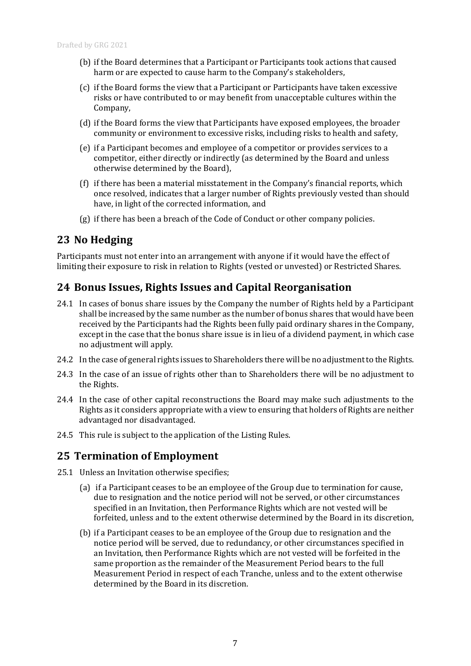- (b) if the Board determines that a Participant or Participants took actions that caused harm or are expected to cause harm to the Company's stakeholders,
- (c) if the Board forms the view that a Participant or Participants have taken excessive risks or have contributed to or may benefit from unacceptable cultures within the Company,
- (d) if the Board forms the view that Participants have exposed employees, the broader community or environment to excessive risks, including risks to health and safety,
- (e) if a Participant becomes and employee of a competitor or provides services to a competitor, either directly or indirectly (as determined by the Board and unless otherwise determined by the Board),
- (f) if there has been a material misstatement in the Company's financial reports, which once resolved, indicates that a larger number of Rights previously vested than should have, in light of the corrected information, and
- (g) if there has been a breach of the Code of Conduct or other company policies.

#### <span id="page-8-0"></span>**23 No Hedging**

Participants must not enter into an arrangement with anyone if it would have the effect of limiting their exposure to risk in relation to Rights (vested or unvested) or Restricted Shares.

#### <span id="page-8-1"></span>**24 Bonus Issues, Rights Issues and Capital Reorganisation**

- 24.1 In cases of bonus share issues by the Company the number of Rights held by a Participant shall be increased by the same number as the number of bonus shares that would have been received by the Participants had the Rights been fully paid ordinary shares in the Company, except in the case that the bonus share issue is in lieu of a dividend payment, in which case no adjustment will apply.
- 24.2 In the case of general rights issues to Shareholders there will be no adjustment to the Rights.
- 24.3 In the case of an issue of rights other than to Shareholders there will be no adjustment to the Rights.
- 24.4 In the case of other capital reconstructions the Board may make such adjustments to the Rights as it considers appropriate with a view to ensuring that holders of Rights are neither advantaged nor disadvantaged.
- 24.5 This rule is subject to the application of the Listing Rules.

#### <span id="page-8-2"></span>**25 Termination of Employment**

- 25.1 Unless an Invitation otherwise specifies;
	- (a) if a Participant ceases to be an employee of the Group due to termination for cause, due to resignation and the notice period will not be served, or other circumstances specified in an Invitation, then Performance Rights which are not vested will be forfeited, unless and to the extent otherwise determined by the Board in its discretion,
	- (b) if a Participant ceases to be an employee of the Group due to resignation and the notice period will be served, due to redundancy, or other circumstances specified in an Invitation, then Performance Rights which are not vested will be forfeited in the same proportion as the remainder of the Measurement Period bears to the full Measurement Period in respect of each Tranche, unless and to the extent otherwise determined by the Board in its discretion.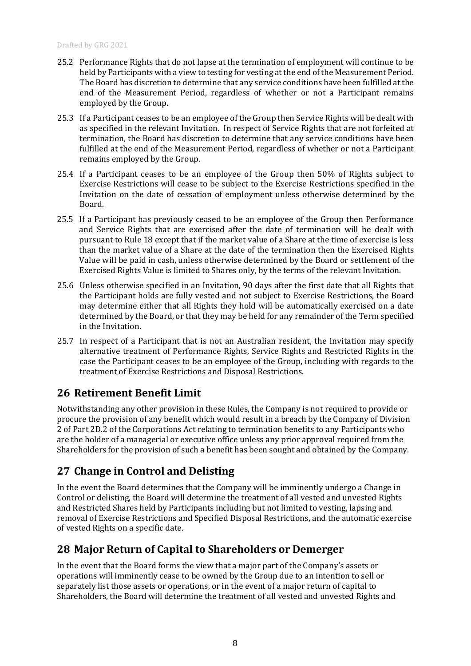- 25.2 Performance Rights that do not lapse at the termination of employment will continue to be held by Participants with a view to testing for vesting at the end of the Measurement Period. The Board has discretion to determine that any service conditions have been fulfilled at the end of the Measurement Period, regardless of whether or not a Participant remains employed by the Group.
- 25.3 If a Participant ceases to be an employee of the Group then Service Rights will be dealt with as specified in the relevant Invitation. In respect of Service Rights that are not forfeited at termination, the Board has discretion to determine that any service conditions have been fulfilled at the end of the Measurement Period, regardless of whether or not a Participant remains employed by the Group.
- 25.4 If a Participant ceases to be an employee of the Group then 50% of Rights subject to Exercise Restrictions will cease to be subject to the Exercise Restrictions specified in the Invitation on the date of cessation of employment unless otherwise determined by the Board.
- 25.5 If a Participant has previously ceased to be an employee of the Group then Performance and Service Rights that are exercised after the date of termination will be dealt with pursuant to Rule [18](#page-6-0) except that if the market value of a Share at the time of exercise is less than the market value of a Share at the date of the termination then the Exercised Rights Value will be paid in cash, unless otherwise determined by the Board or settlement of the Exercised Rights Value is limited to Shares only, by the terms of the relevant Invitation.
- 25.6 Unless otherwise specified in an Invitation, 90 days after the first date that all Rights that the Participant holds are fully vested and not subject to Exercise Restrictions, the Board may determine either that all Rights they hold will be automatically exercised on a date determined by the Board, or that they may be held for any remainder of the Term specified in the Invitation.
- 25.7 In respect of a Participant that is not an Australian resident, the Invitation may specify alternative treatment of Performance Rights, Service Rights and Restricted Rights in the case the Participant ceases to be an employee of the Group, including with regards to the treatment of Exercise Restrictions and Disposal Restrictions.

## <span id="page-9-0"></span>**26 Retirement Benefit Limit**

Notwithstanding any other provision in these Rules, the Company is not required to provide or procure the provision of any benefit which would result in a breach by the Company of Division 2 of Part 2D.2 of the Corporations Act relating to termination benefits to any Participants who are the holder of a managerial or executive office unless any prior approval required from the Shareholders for the provision of such a benefit has been sought and obtained by the Company.

# <span id="page-9-1"></span>**27 Change in Control and Delisting**

In the event the Board determines that the Company will be imminently undergo a Change in Control or delisting, the Board will determine the treatment of all vested and unvested Rights and Restricted Shares held by Participants including but not limited to vesting, lapsing and removal of Exercise Restrictions and Specified Disposal Restrictions, and the automatic exercise of vested Rights on a specific date.

# <span id="page-9-2"></span>**28 Major Return of Capital to Shareholders or Demerger**

In the event that the Board forms the view that a major part of the Company's assets or operations will imminently cease to be owned by the Group due to an intention to sell or separately list those assets or operations, or in the event of a major return of capital to Shareholders, the Board will determine the treatment of all vested and unvested Rights and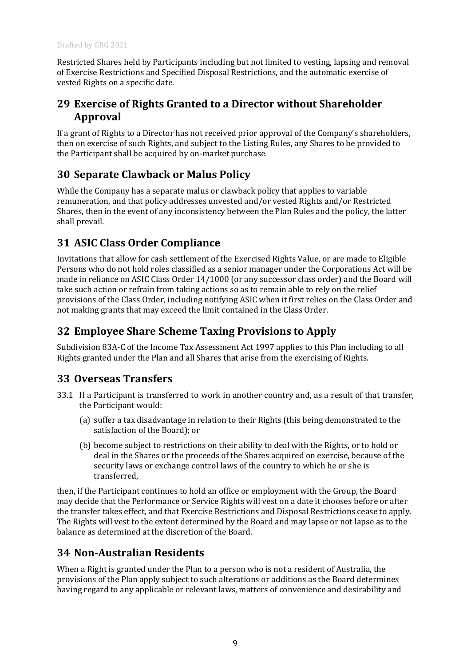Restricted Shares held by Participants including but not limited to vesting, lapsing and removal of Exercise Restrictions and Specified Disposal Restrictions, and the automatic exercise of vested Rights on a specific date.

## <span id="page-10-0"></span>**29 Exercise of Rights Granted to a Director without Shareholder Approval**

If a grant of Rights to a Director has not received prior approval of the Company's shareholders, then on exercise of such Rights, and subject to the Listing Rules, any Shares to be provided to the Participant shall be acquired by on-market purchase.

# <span id="page-10-1"></span>**30 Separate Clawback or Malus Policy**

While the Company has a separate malus or clawback policy that applies to variable remuneration, and that policy addresses unvested and/or vested Rights and/or Restricted Shares, then in the event of any inconsistency between the Plan Rules and the policy, the latter shall prevail.

# <span id="page-10-2"></span>**31 ASIC Class Order Compliance**

Invitations that allow for cash settlement of the Exercised Rights Value, or are made to Eligible Persons who do not hold roles classified as a senior manager under the Corporations Act will be made in reliance on ASIC Class Order 14/1000 (or any successor class order) and the Board will take such action or refrain from taking actions so as to remain able to rely on the relief provisions of the Class Order, including notifying ASIC when it first relies on the Class Order and not making grants that may exceed the limit contained in the Class Order.

## <span id="page-10-3"></span>**32 Employee Share Scheme Taxing Provisions to Apply**

Subdivision 83A-C of the Income Tax Assessment Act 1997 applies to this Plan including to all Rights granted under the Plan and all Shares that arise from the exercising of Rights.

## <span id="page-10-4"></span>**33 Overseas Transfers**

- 33.1 If a Participant is transferred to work in another country and, as a result of that transfer, the Participant would:
	- (a) suffer a tax disadvantage in relation to their Rights (this being demonstrated to the satisfaction of the Board); or
	- (b) become subject to restrictions on their ability to deal with the Rights, or to hold or deal in the Shares or the proceeds of the Shares acquired on exercise, because of the security laws or exchange control laws of the country to which he or she is transferred,

then, if the Participant continues to hold an office or employment with the Group, the Board may decide that the Performance or Service Rights will vest on a date it chooses before or after the transfer takes effect, and that Exercise Restrictions and Disposal Restrictions cease to apply. The Rights will vest to the extent determined by the Board and may lapse or not lapse as to the balance as determined at the discretion of the Board.

## <span id="page-10-5"></span>**34 Non-Australian Residents**

When a Right is granted under the Plan to a person who is not a resident of Australia, the provisions of the Plan apply subject to such alterations or additions as the Board determines having regard to any applicable or relevant laws, matters of convenience and desirability and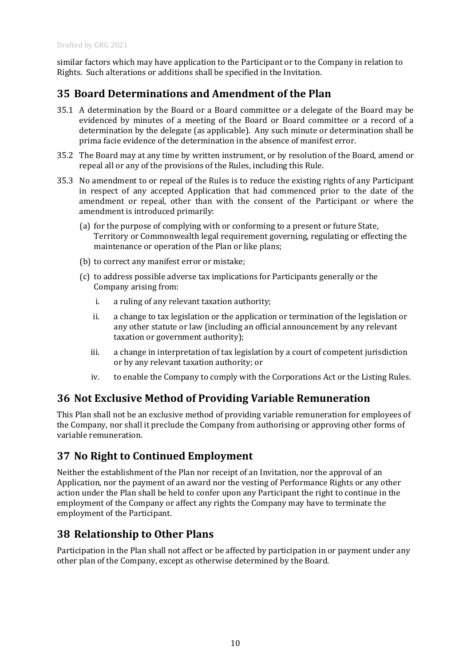similar factors which may have application to the Participant or to the Company in relation to Rights. Such alterations or additions shall be specified in the Invitation.

#### <span id="page-11-0"></span>**35 Board Determinations and Amendment of the Plan**

- 35.1 A determination by the Board or a Board committee or a delegate of the Board may be evidenced by minutes of a meeting of the Board or Board committee or a record of a determination by the delegate (as applicable). Any such minute or determination shall be prima facie evidence of the determination in the absence of manifest error.
- 35.2 The Board may at any time by written instrument, or by resolution of the Board, amend or repeal all or any of the provisions of the Rules, including this Rule.
- 35.3 No amendment to or repeal of the Rules is to reduce the existing rights of any Participant in respect of any accepted Application that had commenced prior to the date of the amendment or repeal, other than with the consent of the Participant or where the amendment is introduced primarily:
	- (a) for the purpose of complying with or conforming to a present or future State, Territory or Commonwealth legal requirement governing, regulating or effecting the maintenance or operation of the Plan or like plans;
	- (b) to correct any manifest error or mistake;
	- (c) to address possible adverse tax implications for Participants generally or the Company arising from:
		- i. a ruling of any relevant taxation authority;
		- ii. a change to tax legislation or the application or termination of the legislation or any other statute or law (including an official announcement by any relevant taxation or government authority);
		- iii. a change in interpretation of tax legislation by a court of competent jurisdiction or by any relevant taxation authority; or
		- iv. to enable the Company to comply with the Corporations Act or the Listing Rules.

#### <span id="page-11-1"></span>**36 Not Exclusive Method of Providing Variable Remuneration**

This Plan shall not be an exclusive method of providing variable remuneration for employees of the Company, nor shall it preclude the Company from authorising or approving other forms of variable remuneration.

#### <span id="page-11-2"></span>**37 No Right to Continued Employment**

Neither the establishment of the Plan nor receipt of an Invitation, nor the approval of an Application, nor the payment of an award nor the vesting of Performance Rights or any other action under the Plan shall be held to confer upon any Participant the right to continue in the employment of the Company or affect any rights the Company may have to terminate the employment of the Participant.

#### <span id="page-11-3"></span>**38 Relationship to Other Plans**

Participation in the Plan shall not affect or be affected by participation in or payment under any other plan of the Company, except as otherwise determined by the Board.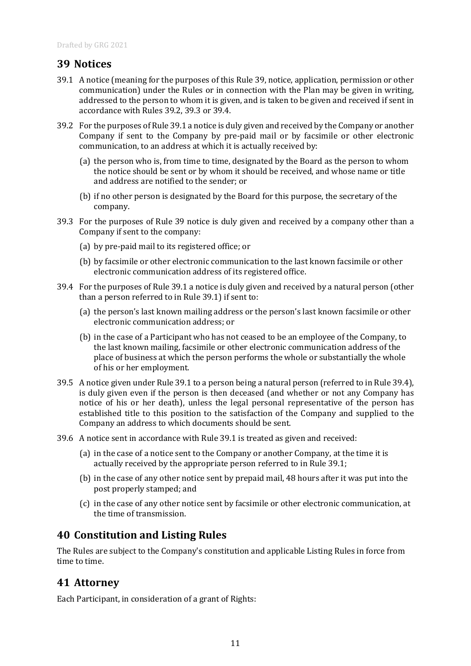#### <span id="page-12-0"></span>**39 Notices**

- <span id="page-12-6"></span>39.1 A notice (meaning for the purposes of this Rule [39,](#page-12-0) notice, application, permission or other communication) under the Rules or in connection with the Plan may be given in writing, addressed to the person to whom it is given, and is taken to be given and received if sent in accordance with Rules [39.2,](#page-12-3) [39.3](#page-12-4) o[r 39.4.](#page-12-5)
- <span id="page-12-3"></span>39.2 For the purposes of Rul[e 39.1](#page-12-6) a notice is duly given and received by the Company or another Company if sent to the Company by pre-paid mail or by facsimile or other electronic communication, to an address at which it is actually received by:
	- (a) the person who is, from time to time, designated by the Board as the person to whom the notice should be sent or by whom it should be received, and whose name or title and address are notified to the sender; or
	- (b) if no other person is designated by the Board for this purpose, the secretary of the company.
- <span id="page-12-4"></span>39.3 For the purposes of Rule [39](#page-12-0) notice is duly given and received by a company other than a Company if sent to the company:
	- (a) by pre-paid mail to its registered office; or
	- (b) by facsimile or other electronic communication to the last known facsimile or other electronic communication address of its registered office.
- <span id="page-12-5"></span>39.4 For the purposes of Rul[e 39.1](#page-12-6) a notice is duly given and received by a natural person (other than a person referred to in Rule [39.1\)](#page-12-6) if sent to:
	- (a) the person's last known mailing address or the person's last known facsimile or other electronic communication address; or
	- (b) in the case of a Participant who has not ceased to be an employee of the Company, to the last known mailing, facsimile or other electronic communication address of the place of business at which the person performs the whole or substantially the whole of his or her employment.
- 39.5 A notice given under Rul[e 39.1](#page-12-6) to a person being a natural person (referred to in Rul[e 39.4\)](#page-12-5), is duly given even if the person is then deceased (and whether or not any Company has notice of his or her death), unless the legal personal representative of the person has established title to this position to the satisfaction of the Company and supplied to the Company an address to which documents should be sent.
- 39.6 A notice sent in accordance with Rule [39.1](#page-12-6) is treated as given and received:
	- (a) in the case of a notice sent to the Company or another Company, at the time it is actually received by the appropriate person referred to in Rule [39.1;](#page-12-6)
	- (b) in the case of any other notice sent by prepaid mail, 48 hours after it was put into the post properly stamped; and
	- (c) in the case of any other notice sent by facsimile or other electronic communication, at the time of transmission.

#### <span id="page-12-1"></span>**40 Constitution and Listing Rules**

The Rules are subject to the Company's constitution and applicable Listing Rules in force from time to time.

#### <span id="page-12-2"></span>**41 Attorney**

Each Participant, in consideration of a grant of Rights: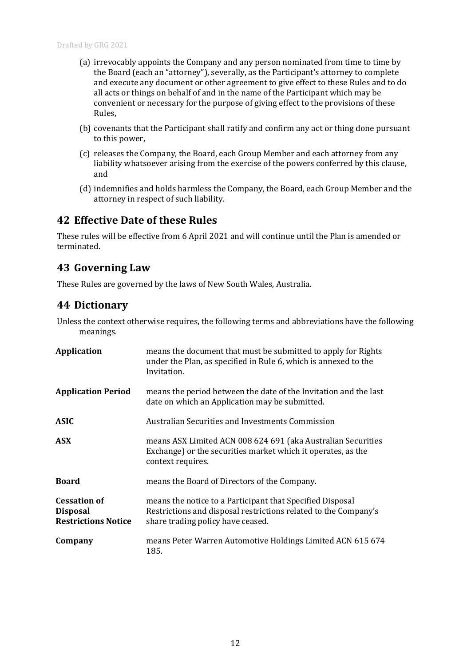- (a) irrevocably appoints the Company and any person nominated from time to time by the Board (each an "attorney"), severally, as the Participant's attorney to complete and execute any document or other agreement to give effect to these Rules and to do all acts or things on behalf of and in the name of the Participant which may be convenient or necessary for the purpose of giving effect to the provisions of these Rules,
- (b) covenants that the Participant shall ratify and confirm any act or thing done pursuant to this power,
- (c) releases the Company, the Board, each Group Member and each attorney from any liability whatsoever arising from the exercise of the powers conferred by this clause, and
- (d) indemnifies and holds harmless the Company, the Board, each Group Member and the attorney in respect of such liability.

#### <span id="page-13-0"></span>**42 Effective Date of these Rules**

These rules will be effective from 6 April 2021 and will continue until the Plan is amended or terminated.

#### <span id="page-13-1"></span>**43 Governing Law**

These Rules are governed by the laws of New South Wales, Australia.

#### <span id="page-13-2"></span>**44 Dictionary**

Unless the context otherwise requires, the following terms and abbreviations have the following meanings.

| <b>Application</b>                                                   | means the document that must be submitted to apply for Rights<br>under the Plan, as specified in Rule 6, which is annexed to the<br>Invitation.                   |
|----------------------------------------------------------------------|-------------------------------------------------------------------------------------------------------------------------------------------------------------------|
| <b>Application Period</b>                                            | means the period between the date of the Invitation and the last<br>date on which an Application may be submitted.                                                |
| ASIC                                                                 | Australian Securities and Investments Commission                                                                                                                  |
| <b>ASX</b>                                                           | means ASX Limited ACN 008 624 691 (aka Australian Securities<br>Exchange) or the securities market which it operates, as the<br>context requires.                 |
| <b>Board</b>                                                         | means the Board of Directors of the Company.                                                                                                                      |
| <b>Cessation of</b><br><b>Disposal</b><br><b>Restrictions Notice</b> | means the notice to a Participant that Specified Disposal<br>Restrictions and disposal restrictions related to the Company's<br>share trading policy have ceased. |
| Company                                                              | means Peter Warren Automotive Holdings Limited ACN 615 674<br>185.                                                                                                |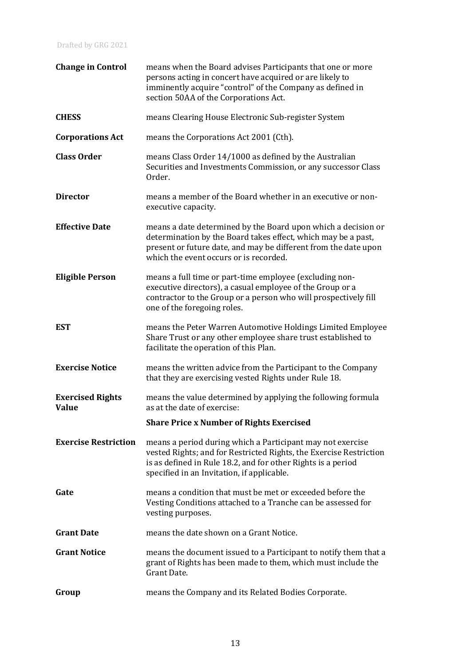| <b>Change in Control</b>                | means when the Board advises Participants that one or more<br>persons acting in concert have acquired or are likely to<br>imminently acquire "control" of the Company as defined in<br>section 50AA of the Corporations Act.                   |
|-----------------------------------------|------------------------------------------------------------------------------------------------------------------------------------------------------------------------------------------------------------------------------------------------|
| <b>CHESS</b>                            | means Clearing House Electronic Sub-register System                                                                                                                                                                                            |
| <b>Corporations Act</b>                 | means the Corporations Act 2001 (Cth).                                                                                                                                                                                                         |
| <b>Class Order</b>                      | means Class Order 14/1000 as defined by the Australian<br>Securities and Investments Commission, or any successor Class<br>Order.                                                                                                              |
| <b>Director</b>                         | means a member of the Board whether in an executive or non-<br>executive capacity.                                                                                                                                                             |
| <b>Effective Date</b>                   | means a date determined by the Board upon which a decision or<br>determination by the Board takes effect, which may be a past,<br>present or future date, and may be different from the date upon<br>which the event occurs or is recorded.    |
| <b>Eligible Person</b>                  | means a full time or part-time employee (excluding non-<br>executive directors), a casual employee of the Group or a<br>contractor to the Group or a person who will prospectively fill<br>one of the foregoing roles.                         |
| <b>EST</b>                              | means the Peter Warren Automotive Holdings Limited Employee<br>Share Trust or any other employee share trust established to<br>facilitate the operation of this Plan.                                                                          |
| <b>Exercise Notice</b>                  | means the written advice from the Participant to the Company<br>that they are exercising vested Rights under Rule 18.                                                                                                                          |
| <b>Exercised Rights</b><br><b>Value</b> | means the value determined by applying the following formula<br>as at the date of exercise:                                                                                                                                                    |
|                                         | <b>Share Price x Number of Rights Exercised</b>                                                                                                                                                                                                |
| <b>Exercise Restriction</b>             | means a period during which a Participant may not exercise<br>vested Rights; and for Restricted Rights, the Exercise Restriction<br>is as defined in Rule 18.2, and for other Rights is a period<br>specified in an Invitation, if applicable. |
| Gate                                    | means a condition that must be met or exceeded before the<br>Vesting Conditions attached to a Tranche can be assessed for<br>vesting purposes.                                                                                                 |
| <b>Grant Date</b>                       | means the date shown on a Grant Notice.                                                                                                                                                                                                        |
| <b>Grant Notice</b>                     | means the document issued to a Participant to notify them that a<br>grant of Rights has been made to them, which must include the<br>Grant Date.                                                                                               |
| Group                                   | means the Company and its Related Bodies Corporate.                                                                                                                                                                                            |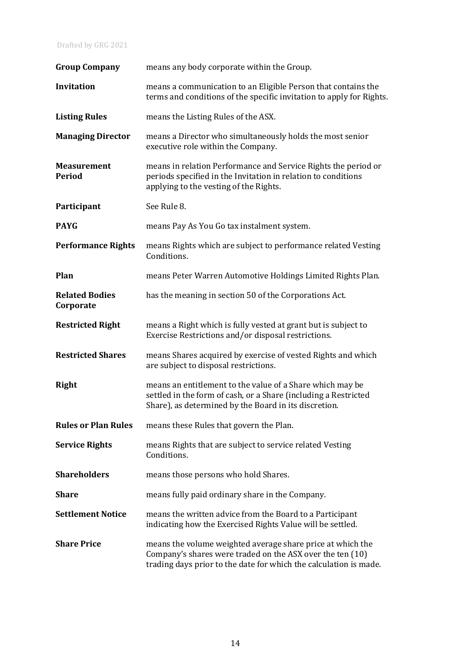#### Drafted by GRG 2021

| <b>Group Company</b>               | means any body corporate within the Group.                                                                                                                                                   |
|------------------------------------|----------------------------------------------------------------------------------------------------------------------------------------------------------------------------------------------|
| <b>Invitation</b>                  | means a communication to an Eligible Person that contains the<br>terms and conditions of the specific invitation to apply for Rights.                                                        |
| <b>Listing Rules</b>               | means the Listing Rules of the ASX.                                                                                                                                                          |
| <b>Managing Director</b>           | means a Director who simultaneously holds the most senior<br>executive role within the Company.                                                                                              |
| <b>Measurement</b><br>Period       | means in relation Performance and Service Rights the period or<br>periods specified in the Invitation in relation to conditions<br>applying to the vesting of the Rights.                    |
| Participant                        | See Rule 8.                                                                                                                                                                                  |
| <b>PAYG</b>                        | means Pay As You Go tax instalment system.                                                                                                                                                   |
| <b>Performance Rights</b>          | means Rights which are subject to performance related Vesting<br>Conditions.                                                                                                                 |
| Plan                               | means Peter Warren Automotive Holdings Limited Rights Plan.                                                                                                                                  |
| <b>Related Bodies</b><br>Corporate | has the meaning in section 50 of the Corporations Act.                                                                                                                                       |
| <b>Restricted Right</b>            | means a Right which is fully vested at grant but is subject to<br>Exercise Restrictions and/or disposal restrictions.                                                                        |
| <b>Restricted Shares</b>           | means Shares acquired by exercise of vested Rights and which<br>are subject to disposal restrictions.                                                                                        |
| <b>Right</b>                       | means an entitlement to the value of a Share which may be<br>settled in the form of cash, or a Share (including a Restricted<br>Share), as determined by the Board in its discretion.        |
| <b>Rules or Plan Rules</b>         | means these Rules that govern the Plan.                                                                                                                                                      |
| <b>Service Rights</b>              | means Rights that are subject to service related Vesting<br>Conditions.                                                                                                                      |
| <b>Shareholders</b>                | means those persons who hold Shares.                                                                                                                                                         |
| <b>Share</b>                       | means fully paid ordinary share in the Company.                                                                                                                                              |
| <b>Settlement Notice</b>           | means the written advice from the Board to a Participant<br>indicating how the Exercised Rights Value will be settled.                                                                       |
| <b>Share Price</b>                 | means the volume weighted average share price at which the<br>Company's shares were traded on the ASX over the ten (10)<br>trading days prior to the date for which the calculation is made. |